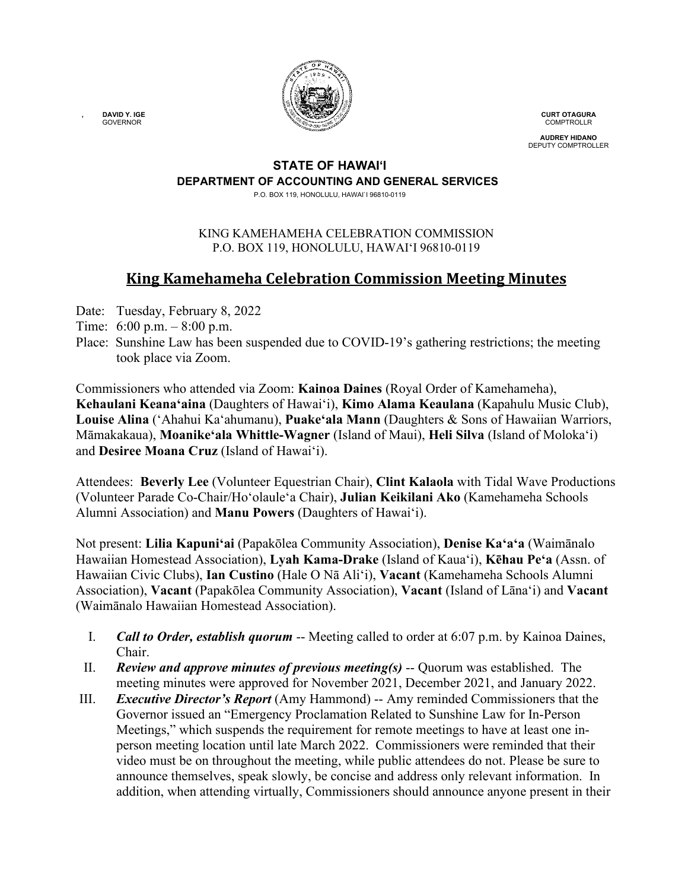

**CURT OTAGURA COMPTROLLR** 

**AUDREY HIDANO** DEPUTY COMPTROLLER

#### **STATE OF HAWAI'I DEPARTMENT OF ACCOUNTING AND GENERAL SERVICES**

P.O. BOX 119, HONOLULU, HAWAI`I 96810-0119

### KING KAMEHAMEHA CELEBRATION COMMISSION P.O. BOX 119, HONOLULU, HAWAIʻI 96810-0119

# **King Kamehameha Celebration Commission Meeting Minutes**

Date: Tuesday, February 8, 2022

- Time: 6:00 p.m. 8:00 p.m.
- Place: Sunshine Law has been suspended due to COVID-19's gathering restrictions; the meeting took place via Zoom.

Commissioners who attended via Zoom: **Kainoa Daines** (Royal Order of Kamehameha), **Kehaulani Keana'aina** (Daughters of Hawai'i), **Kimo Alama Keaulana** (Kapahulu Music Club), **Louise Alina** ('Ahahui Kaʻahumanu), **Puake'ala Mann** (Daughters & Sons of Hawaiian Warriors, Māmakakaua), **Moanike'ala Whittle-Wagner** (Island of Maui), **Heli Silva** (Island of Molokaʻi) and **Desiree Moana Cruz** (Island of Hawai'i).

Attendees: **Beverly Lee** (Volunteer Equestrian Chair), **Clint Kalaola** with Tidal Wave Productions (Volunteer Parade Co-Chair/Ho'olaule'a Chair), **Julian Keikilani Ako** (Kamehameha Schools Alumni Association) and **Manu Powers** (Daughters of Hawaiʻi).

Not present: **Lilia Kapuniʻai** (Papakōlea Community Association), **Denise Kaʻaʻa** (Waimānalo Hawaiian Homestead Association), **Lyah Kama-Drake** (Island of Kaua'i), **Kēhau Pe'a** (Assn. of Hawaiian Civic Clubs), **Ian Custino** (Hale O Nā Ali'i), **Vacant** (Kamehameha Schools Alumni Association), **Vacant** (Papakōlea Community Association), **Vacant** (Island of Lāna'i) and **Vacant** (Waimānalo Hawaiian Homestead Association).

- I. *Call to Order, establish quorum* -- Meeting called to order at 6:07 p.m. by Kainoa Daines, Chair.
- II. *Review and approve minutes of previous meeting(s)* -- Quorum was established. The meeting minutes were approved for November 2021, December 2021, and January 2022.
- III. *Executive Director's Report* (Amy Hammond) -- Amy reminded Commissioners that the Governor issued an "Emergency Proclamation Related to Sunshine Law for In-Person Meetings," which suspends the requirement for remote meetings to have at least one inperson meeting location until late March 2022. Commissioners were reminded that their video must be on throughout the meeting, while public attendees do not. Please be sure to announce themselves, speak slowly, be concise and address only relevant information. In addition, when attending virtually, Commissioners should announce anyone present in their

**, DAVID Y. IGE** GOVERNOR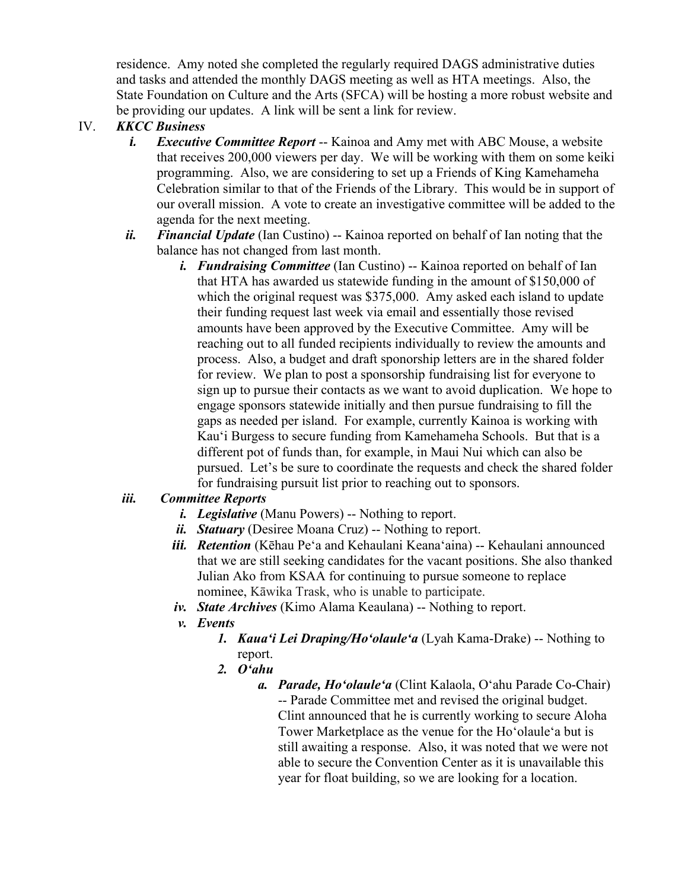residence. Amy noted she completed the regularly required DAGS administrative duties and tasks and attended the monthly DAGS meeting as well as HTA meetings. Also, the State Foundation on Culture and the Arts (SFCA) will be hosting a more robust website and be providing our updates. A link will be sent a link for review.

## IV. *KKCC Business*

- *i. Executive Committee Report* -- Kainoa and Amy met with ABC Mouse, a website that receives 200,000 viewers per day. We will be working with them on some keiki programming. Also, we are considering to set up a Friends of King Kamehameha Celebration similar to that of the Friends of the Library. This would be in support of our overall mission. A vote to create an investigative committee will be added to the agenda for the next meeting.
- *ii. Financial Update* (Ian Custino) -- Kainoa reported on behalf of Ian noting that the balance has not changed from last month.
	- *i. Fundraising Committee* (Ian Custino) -- Kainoa reported on behalf of Ian that HTA has awarded us statewide funding in the amount of \$150,000 of which the original request was \$375,000. Amy asked each island to update their funding request last week via email and essentially those revised amounts have been approved by the Executive Committee. Amy will be reaching out to all funded recipients individually to review the amounts and process. Also, a budget and draft sponorship letters are in the shared folder for review. We plan to post a sponsorship fundraising list for everyone to sign up to pursue their contacts as we want to avoid duplication. We hope to engage sponsors statewide initially and then pursue fundraising to fill the gaps as needed per island. For example, currently Kainoa is working with Kauʻi Burgess to secure funding from Kamehameha Schools. But that is a different pot of funds than, for example, in Maui Nui which can also be pursued. Let's be sure to coordinate the requests and check the shared folder for fundraising pursuit list prior to reaching out to sponsors.

## *iii. Committee Reports*

- *i. Legislative* (Manu Powers) -- Nothing to report.
- *ii. Statuary* (Desiree Moana Cruz) -- Nothing to report.
- *iii. Retention* (Kēhau Pe'a and Kehaulani Keanaʻaina) -- Kehaulani announced that we are still seeking candidates for the vacant positions. She also thanked Julian Ako from KSAA for continuing to pursue someone to replace nominee, Kāwika Trask, who is unable to participate.
- *iv. State Archives* (Kimo Alama Keaulana) -- Nothing to report.
- *v. Events*
	- *1. Kauaʻi Lei Draping/Hoʻolauleʻa* (Lyah Kama-Drake) -- Nothing to report.
	- *2. Oʻahu*
		- *a. Parade, Hoʻolauleʻa* (Clint Kalaola, Oʻahu Parade Co-Chair) -- Parade Committee met and revised the original budget. Clint announced that he is currently working to secure Aloha Tower Marketplace as the venue for the Hoʻolauleʻa but is still awaiting a response. Also, it was noted that we were not able to secure the Convention Center as it is unavailable this year for float building, so we are looking for a location.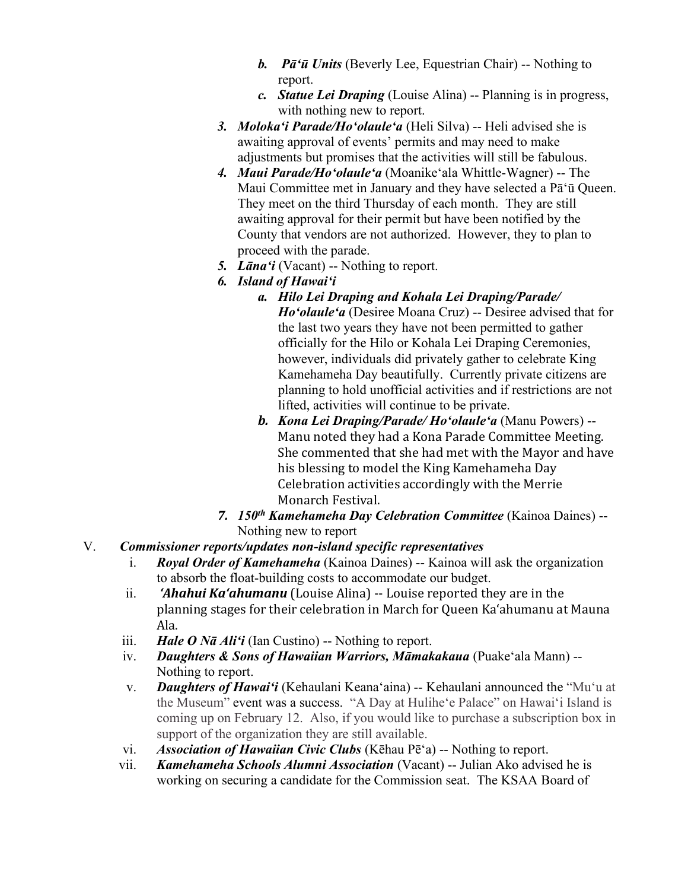- *b. Pāʻū Units* (Beverly Lee, Equestrian Chair) -- Nothing to report.
- *c. Statue Lei Draping* (Louise Alina) -- Planning is in progress, with nothing new to report.
- *3. Molokaʻi Parade/Hoʻolauleʻa* (Heli Silva) -- Heli advised she is awaiting approval of events' permits and may need to make adjustments but promises that the activities will still be fabulous.
- *4. Maui Parade/Hoʻolauleʻa* (Moanikeʻala Whittle-Wagner) -- The Maui Committee met in January and they have selected a Pāʻū Queen. They meet on the third Thursday of each month. They are still awaiting approval for their permit but have been notified by the County that vendors are not authorized. However, they to plan to proceed with the parade.
- *5. Lānaʻi* (Vacant) -- Nothing to report.
- *6. Island of Hawaiʻi*
	- *a. Hilo Lei Draping and Kohala Lei Draping/Parade/ Hoʻolauleʻa* (Desiree Moana Cruz) -- Desiree advised that for the last two years they have not been permitted to gather officially for the Hilo or Kohala Lei Draping Ceremonies, however, individuals did privately gather to celebrate King Kamehameha Day beautifully. Currently private citizens are planning to hold unofficial activities and if restrictions are not lifted, activities will continue to be private.
	- *b. Kona Lei Draping/Parade/ Hoʻolauleʻa* (Manu Powers) -- Manu noted they had a Kona Parade Committee Meeting. She commented that she had met with the Mayor and have his blessing to model the King Kamehameha Day Celebration activities accordingly with the Merrie Monarch Festival.
- *7. 150th Kamehameha Day Celebration Committee* (Kainoa Daines) -- Nothing new to report
- V.*Commissioner reports/updates non-island specific representatives*
	- i. *Royal Order of Kamehameha* (Kainoa Daines) -- Kainoa will ask the organization to absorb the float-building costs to accommodate our budget.
	- ii. *'Ahahui Ka'ahumanu* (Louise Alina) -- Louise reported they are in the planning stages for their celebration in March for Queen Kaʻahumanu at Mauna Ala.
	- iii. *Hale O Nā Ali'i* (Ian Custino) -- Nothing to report.
	- iv. *Daughters & Sons of Hawaiian Warriors, Māmakakaua* (Puake'ala Mann) -- Nothing to report.
	- v. *Daughters of Hawai'i* (Kehaulani Keana'aina) -- Kehaulani announced the "Muʻu at the Museum" event was a success. "A Day at Huliheʻe Palace" on Hawaiʻi Island is coming up on February 12. Also, if you would like to purchase a subscription box in support of the organization they are still available.
	- vi. *Association of Hawaiian Civic Clubs* (Kēhau Pēʻa) -- Nothing to report.
	- vii. *Kamehameha Schools Alumni Association* (Vacant) -- Julian Ako advised he is working on securing a candidate for the Commission seat. The KSAA Board of